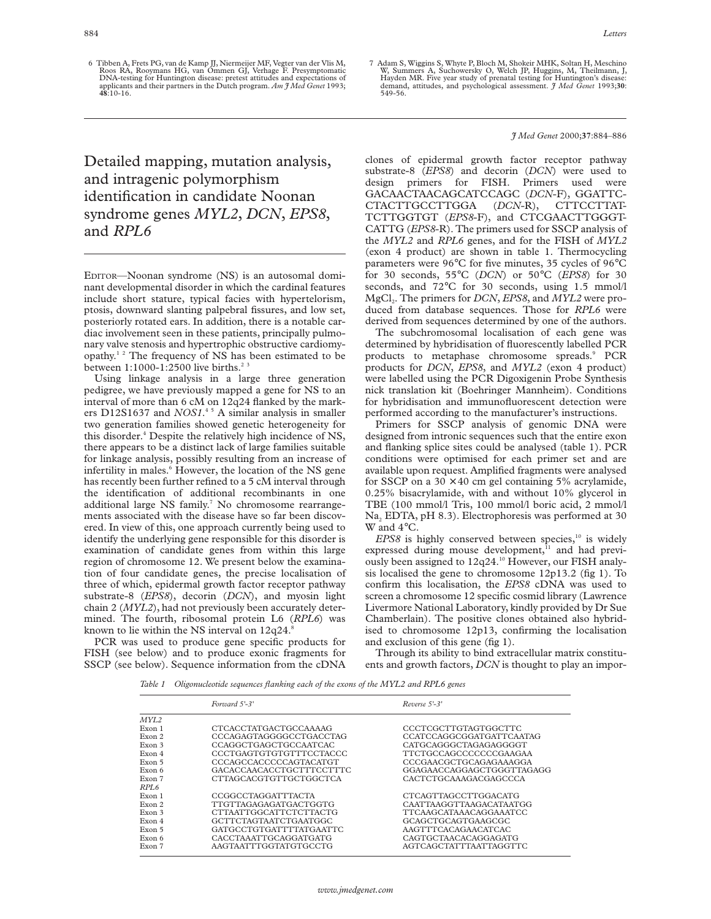6 Tibben A, Frets PG, van de Kamp JJ, Niermeijer MF, Vegter van der Vlis M, Roos RA, Rooymans HG, van Ommen GJ, Verhage F. Presymptomatic DNA-testing for Huntington disease: pretest attitudes and expectations of applicants and their partners in the Dutch program. *Am J Med Genet* 1993; **48**:10-16.

Detailed mapping, mutation analysis, and intragenic polymorphism identification in candidate Noonan syndrome genes *MYL2*, *DCN*, *EPS8*, and *RPL6*

EDITOR—Noonan syndrome (NS) is an autosomal dominant developmental disorder in which the cardinal features include short stature, typical facies with hypertelorism, ptosis, downward slanting palpebral fissures, and low set, posteriorly rotated ears. In addition, there is a notable cardiac involvement seen in these patients, principally pulmonary valve stenosis and hypertrophic obstructive cardiomyopathy.<sup>12</sup> The frequency of NS has been estimated to be between  $1:1000-1:2500$  live births.<sup>23</sup>

Using linkage analysis in a large three generation pedigree, we have previously mapped a gene for NS to an interval of more than 6 cM on 12q24 flanked by the markers D12S1637 and *NOS1*. 4 5 A similar analysis in smaller two generation families showed genetic heterogeneity for this disorder.<sup>4</sup> Despite the relatively high incidence of NS, there appears to be a distinct lack of large families suitable for linkage analysis, possibly resulting from an increase of infertility in males.<sup>6</sup> However, the location of the NS gene has recently been further refined to a 5 cM interval through the identification of additional recombinants in one additional large NS family.<sup>7</sup> No chromosome rearrangements associated with the disease have so far been discovered. In view of this, one approach currently being used to identify the underlying gene responsible for this disorder is examination of candidate genes from within this large region of chromosome 12. We present below the examination of four candidate genes, the precise localisation of three of which, epidermal growth factor receptor pathway substrate-8 (*EPS8*), decorin (*DCN*), and myosin light chain 2 (*MYL2*), had not previously been accurately determined. The fourth, ribosomal protein L6 (*RPL6*) was known to lie within the NS interval on 12q24.

PCR was used to produce gene specific products for FISH (see below) and to produce exonic fragments for SSCP (see below). Sequence information from the cDNA 7 Adam S, Wiggins S, Whyte P, Bloch M, Shokeir MHK, Soltan H, Meschino W, Summers A, Suchowersky O, Welch JP, Huggins, M, Theilmann, J, Hayden MR. Five year study of prenatal testing for Huntington's diseas demand, attitudes, and psychological assessment. *J Med Genet* 1993;**30**: 549-56.

## *J Med Genet* 2000;**37**:884–886

clones of epidermal growth factor receptor pathway substrate-8 (*EPS8*) and decorin (*DCN*) were used to design primers for FISH. Primers used were GACAACTAACAGCATCCAGC (*DCN*-F), GGATTC- $CTACTTGCCTTGGA$ TCTTGGTGT (*EPS8*-F), and CTCGAACTTGGGT-CATTG (*EPS8*-R). The primers used for SSCP analysis of the *MYL2* and *RPL6* genes, and for the FISH of *MYL2* (exon 4 product) are shown in table 1. Thermocycling parameters were 96°C for five minutes, 35 cycles of 96°C for 30 seconds, 55°C (*DCN*) or 50°C (*EPS8*) for 30 seconds, and 72°C for 30 seconds, using 1.5 mmol/l MgCl<sub>2</sub>. The primers for *DCN*, *EPS8*, and *MYL2* were produced from database sequences. Those for *RPL6* were derived from sequences determined by one of the authors.

The subchromosomal localisation of each gene was determined by hybridisation of fluorescently labelled PCR products to metaphase chromosome spreads.<sup>9</sup> PCR products for *DCN*, *EPS8*, and *MYL2* (exon 4 product) were labelled using the PCR Digoxigenin Probe Synthesis nick translation kit (Boehringer Mannheim). Conditions for hybridisation and immunofluorescent detection were performed according to the manufacturer's instructions.

Primers for SSCP analysis of genomic DNA were designed from intronic sequences such that the entire exon and flanking splice sites could be analysed (table 1). PCR conditions were optimised for each primer set and are available upon request. Amplified fragments were analysed for SSCP on a  $30 \times 40$  cm gel containing 5% acrylamide, 0.25% bisacrylamide, with and without 10% glycerol in TBE (100 mmol/l Tris, 100 mmol/l boric acid, 2 mmol/l Na<sub>2</sub> EDTA, pH 8.3). Electrophoresis was performed at 30 W and 4°C.

 $EPS8$  is highly conserved between species,<sup>10</sup> is widely expressed during mouse development,<sup>11</sup> and had previously been assigned to 12q24.<sup>10</sup> However, our FISH analysis localised the gene to chromosome 12p13.2 (fig 1). To confirm this localisation, the *EPS8* cDNA was used to screen a chromosome 12 specific cosmid library (Lawrence Livermore National Laboratory, kindly provided by Dr Sue Chamberlain). The positive clones obtained also hybridised to chromosome 12p13, confirming the localisation and exclusion of this gene (fig 1).

Through its ability to bind extracellular matrix constituents and growth factors, *DCN* is thought to play an impor-

*Table 1 Oligonucleotide sequences flanking each of the exons of the MYL2 and RPL6 genes*

|        | Forward 5'-3'            | $Reverse 5-3'$            |
|--------|--------------------------|---------------------------|
| MYL2   |                          |                           |
| Exon 1 | CTCACCTATGACTGCCAAAAG    | CCCTCGCTTGTAGTGGCTTC      |
| Exon 2 | CCCAGAGTAGGGGCCTGACCTAG  | CCATCCAGGCGGATGATTCAATAG  |
| Exon 3 | CCAGGCTGAGCTGCCAATCAC    | CATGCAGGGCTAGAGAGGGGT     |
| Exon 4 | CCCTGAGTGTGTGTTTCCTACCC  | TTCTGCCAGCCCCCCCGAAGAA    |
| Exon 5 | CCCAGCCACCCCCAGTACATGT   | CCCGAACGCTGCAGAGAAAGGA    |
| Exon 6 | GACACCAACACCTGCTTTCCTTTC | GGAGAACCAGGAGCTGGGTTAGAGG |
| Exon 7 | CTTAGCACGTGTTGCTGGCTCA   | CACTCTGCAAAGACGAGCCCA     |
| RPL6   |                          |                           |
| Exon 1 | CCGGCCTAGGATTTACTA       | CTCAGTTAGCCTTGGACATG      |
| Exon 2 | TTGTTAGAGAGATGACTGGTG    | CAATTAAGGTTAAGACATAATGG   |
| Exon 3 | CTTAATTGGCATTCTCTTACTG   | TTCAAGCATAAACAGGAAATCC    |
| Exon 4 | GCTTCTAGTAATCTGAATGGC    | GCAGCTGCAGTGAAGCGC        |
| Exon 5 | GATGCCTGTGATTTTATGAATTC  | AAGTTTCACAGAACATCAC       |
| Exon 6 | CACCTAAATTGCAGGATGATG    | CAGTGCTAACACAGGAGATG      |
| Exon 7 | AAGTAATTTGGTATGTGCCTG    | AGTCAGCTATTTAATTAGGTTC    |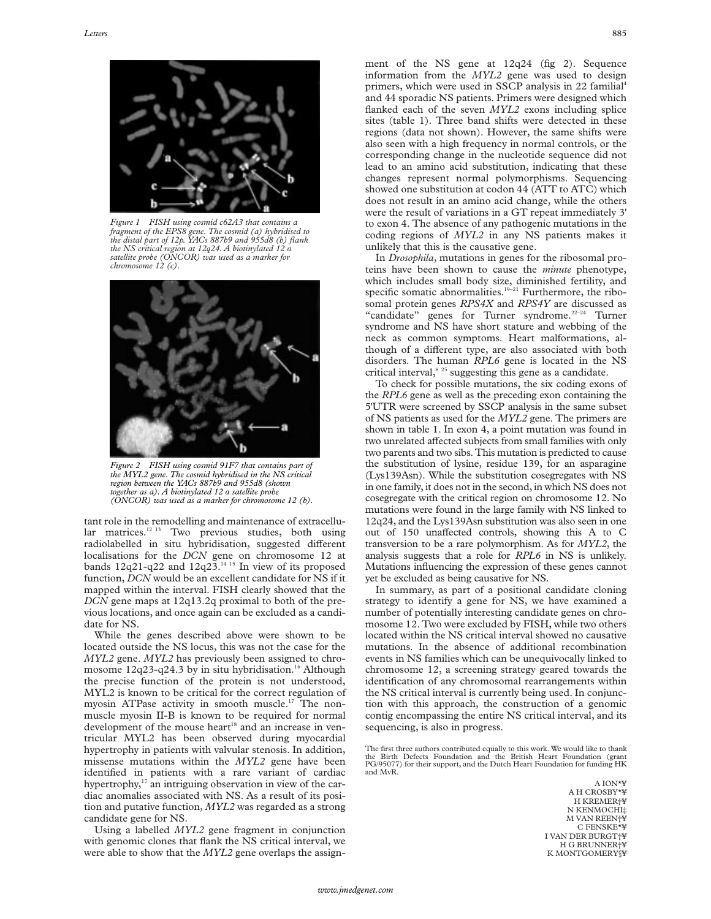

*Figure 1 FISH using cosmid c62A3 that contains a fragment of the EPS8 gene. The cosmid (a) hybridised to the distal part of 12p. YACs 887b9 and 955d8 (b) flank the NS critical region at 12q24. A biotinylated 12* á *satellite probe (ONCOR) was used as a marker for chromosome 12 (c).*



*Figure 2 FISH using cosmid 91F7 that contains part of the MYL2 gene. The cosmid hybridised in the NS critical region between the YACs 887b9 and 955d8 (shown together as a). A biotinylated 12* á *satellite probe (ONCOR) was used as a marker for chromosome 12 (b).*

tant role in the remodelling and maintenance of extracellular matrices.<sup>12 13</sup> Two previous studies, both using radiolabelled in situ hybridisation, suggested different localisations for the *DCN* gene on chromosome 12 at bands  $12q21-q22$  and  $12q23$ .<sup>14 15</sup> In view of its proposed function, *DCN* would be an excellent candidate for NS if it mapped within the interval. FISH clearly showed that the *DCN* gene maps at 12q13.2q proximal to both of the previous locations, and once again can be excluded as a candidate for NS.

While the genes described above were shown to be located outside the NS locus, this was not the case for the *MYL2* gene. *MYL2* has previously been assigned to chromosome  $12q23-q24.3$  by in situ hybridisation.<sup>16</sup> Although the precise function of the protein is not understood, MYL2 is known to be critical for the correct regulation of myosin ATPase activity in smooth muscle.17 The nonmuscle myosin II-B is known to be required for normal development of the mouse heart<sup>18</sup> and an increase in ventricular MYL2 has been observed during myocardial hypertrophy in patients with valvular stenosis. In addition, missense mutations within the *MYL2* gene have been identified in patients with a rare variant of cardiac hypertrophy,<sup>17</sup> an intriguing observation in view of the cardiac anomalies associated with NS. As a result of its position and putative function, *MYL2* was regarded as a strong candidate gene for NS.

Using a labelled *MYL2* gene fragment in conjunction with genomic clones that flank the NS critical interval, we were able to show that the *MYL2* gene overlaps the assignment of the NS gene at 12q24 (fig 2). Sequence information from the *MYL2* gene was used to design primers, which were used in SSCP analysis in 22 familial<sup>4</sup> and 44 sporadic NS patients. Primers were designed which flanked each of the seven *MYL2* exons including splice sites (table 1). Three band shifts were detected in these regions (data not shown). However, the same shifts were also seen with a high frequency in normal controls, or the corresponding change in the nucleotide sequence did not lead to an amino acid substitution, indicating that these changes represent normal polymorphisms. Sequencing showed one substitution at codon 44 (ATT to ATC) which does not result in an amino acid change, while the others were the result of variations in a GT repeat immediately 3' to exon 4. The absence of any pathogenic mutations in the coding regions of *MYL2* in any NS patients makes it unlikely that this is the causative gene.

In *Drosophila*, mutations in genes for the ribosomal proteins have been shown to cause the *minute* phenotype, which includes small body size, diminished fertility, and specific somatic abnormalities.<sup>19-21</sup> Furthermore, the ribosomal protein genes *RPS4X* and *RPS4Y* are discussed as "candidate" genes for Turner syndrome.<sup>22-24</sup> Turner syndrome and NS have short stature and webbing of the neck as common symptoms. Heart malformations, although of a different type, are also associated with both disorders. The human *RPL6* gene is located in the NS critical interval, $8^{25}$  suggesting this gene as a candidate.

To check for possible mutations, the six coding exons of the *RPL6* gene as well as the preceding exon containing the 5'UTR were screened by SSCP analysis in the same subset of NS patients as used for the *MYL2* gene. The primers are shown in table 1. In exon 4, a point mutation was found in two unrelated affected subjects from small families with only two parents and two sibs. This mutation is predicted to cause the substitution of lysine, residue 139, for an asparagine (Lys139Asn). While the substitution cosegregates with NS in one family, it does not in the second, in which NS does not cosegregate with the critical region on chromosome 12. No mutations were found in the large family with NS linked to 12q24, and the Lys139Asn substitution was also seen in one out of 150 unaffected controls, showing this A to C transversion to be a rare polymorphism. As for *MYL2*, the analysis suggests that a role for *RPL6* in NS is unlikely. Mutations influencing the expression of these genes cannot yet be excluded as being causative for NS.

In summary, as part of a positional candidate cloning strategy to identify a gene for NS, we have examined a number of potentially interesting candidate genes on chromosome 12. Two were excluded by FISH, while two others located within the NS critical interval showed no causative mutations. In the absence of additional recombination events in NS families which can be unequivocally linked to chromosome 12, a screening strategy geared towards the identification of any chromosomal rearrangements within the NS critical interval is currently being used. In conjunction with this approach, the construction of a genomic contig encompassing the entire NS critical interval, and its sequencing, is also in progress.

A ION\*¥ A H CROSBY\*¥ H KREMER†¥ N KENMOCHI‡ M VAN REEN†¥ C FENSKE\*¥ I VAN DER BURGT†¥ H G BRUNNER†¥ K MONTGOMERY§¥

The first three authors contributed equally to this work. We would like to thank the Birth Defects Foundation and the British Heart Foundation (grant PG/95077) for their support, and the Dutch Heart Foundation for funding HK and MvR.